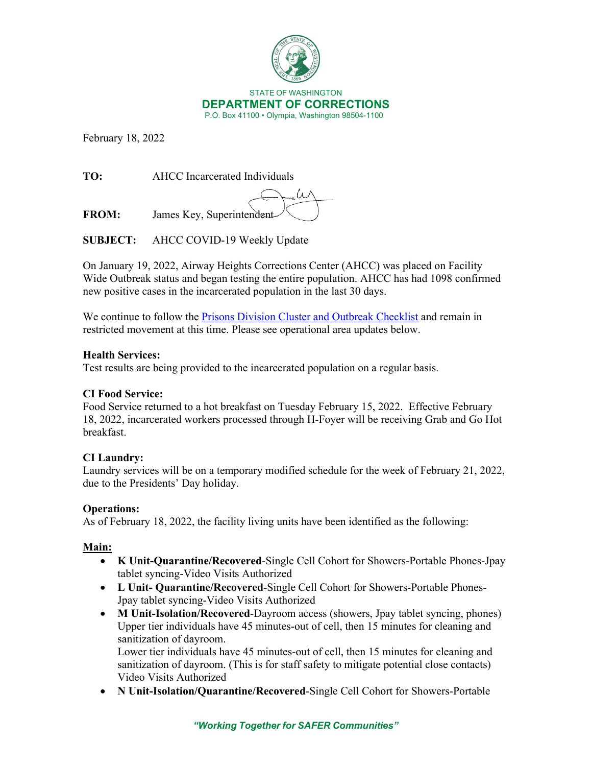

February 18, 2022

**TO:** AHCC Incarcerated Individuals

**FROM:** James Key, Superintendent

**SUBJECT:** AHCC COVID-19 Weekly Update

On January 19, 2022, Airway Heights Corrections Center (AHCC) was placed on Facility Wide Outbreak status and began testing the entire population. AHCC has had 1098 confirmed new positive cases in the incarcerated population in the last 30 days.

We continue to follow the [Prisons Division Cluster and Outbreak Checklist](https://doc.wa.gov/corrections/covid-19/docs/outbreak-checklist.pdf) and remain in restricted movement at this time. Please see operational area updates below.

### **Health Services:**

Test results are being provided to the incarcerated population on a regular basis.

# **CI Food Service:**

Food Service returned to a hot breakfast on Tuesday February 15, 2022. Effective February 18, 2022, incarcerated workers processed through H-Foyer will be receiving Grab and Go Hot breakfast.

# **CI Laundry:**

Laundry services will be on a temporary modified schedule for the week of February 21, 2022, due to the Presidents' Day holiday.

# **Operations:**

As of February 18, 2022, the facility living units have been identified as the following:

# **Main:**

- **K Unit-Quarantine/Recovered**-Single Cell Cohort for Showers-Portable Phones-Jpay tablet syncing-Video Visits Authorized
- **L Unit- Quarantine/Recovered**-Single Cell Cohort for Showers-Portable Phones-Jpay tablet syncing-Video Visits Authorized
- **M Unit-Isolation/Recovered**-Dayroom access (showers, Jpay tablet syncing, phones) Upper tier individuals have 45 minutes-out of cell, then 15 minutes for cleaning and sanitization of dayroom.

Lower tier individuals have 45 minutes-out of cell, then 15 minutes for cleaning and sanitization of dayroom. (This is for staff safety to mitigate potential close contacts) Video Visits Authorized

• **N Unit-Isolation/Quarantine/Recovered**-Single Cell Cohort for Showers-Portable